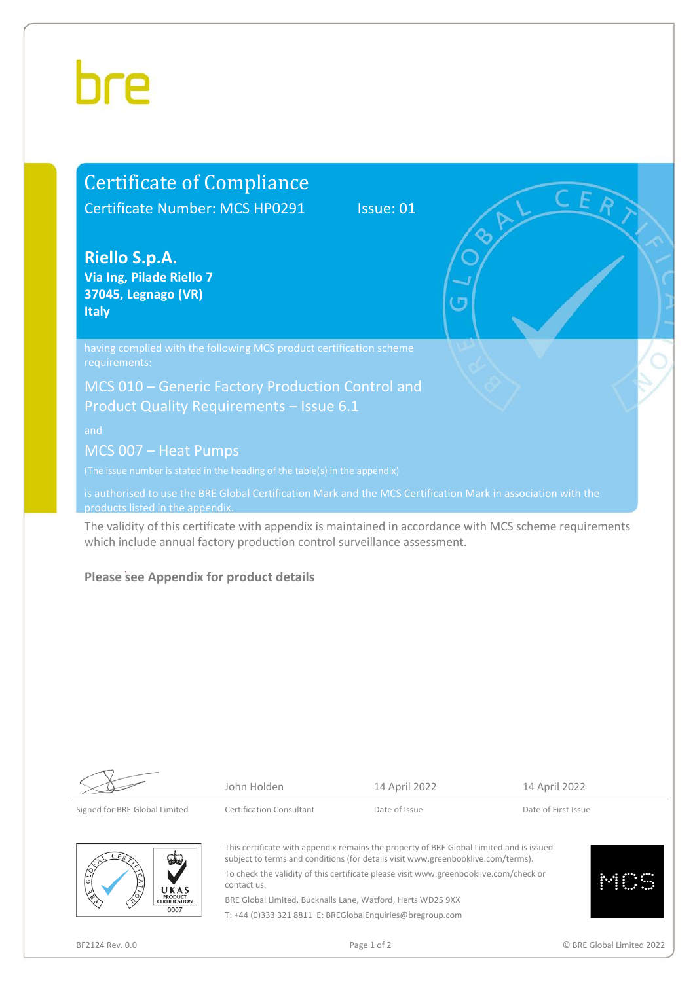# hre

### Certificate of Compliance Certificate Number: MCS HP0291 Issue: 01

**Riello S.p.A. Via Ing, Pilade Riello 7 37045, Legnago (VR) Italy** 

requirements:

MCS 010 – Generic Factory Production Control and Product Quality Requirements – Issue 6.1

MCS 007 – Heat Pumps

is authorised to use the BRE Global Certification Mark and the MCS Certification Mark in association with the products listed in the appendi

The validity of this certificate with appendix is maintained in accordance with MCS scheme requirements which include annual factory production control surveillance assessment.

#### **Please see Appendix for product details**

John Holden 14 April 2022 14 April 2022

This certificate with appendix remains the property of BRE Global Limited and is issued subject to terms and conditions (for details visi[t www.greenbooklive.com/terms\)](http://www.greenbooklive.com/terms).



To check the validity of this certificate please visi[t www.greenbooklive.com/check](http://www.greenbooklive.com/check) or contact us. BRE Global Limited, Bucknalls Lane, Watford, Herts WD25 9XX T: +44 (0)333 321 8811 E: BREGlobalEnquiries@bregroup.com

Signed for BRE Global Limited Certification Consultant Date of Issue Date of First Issue